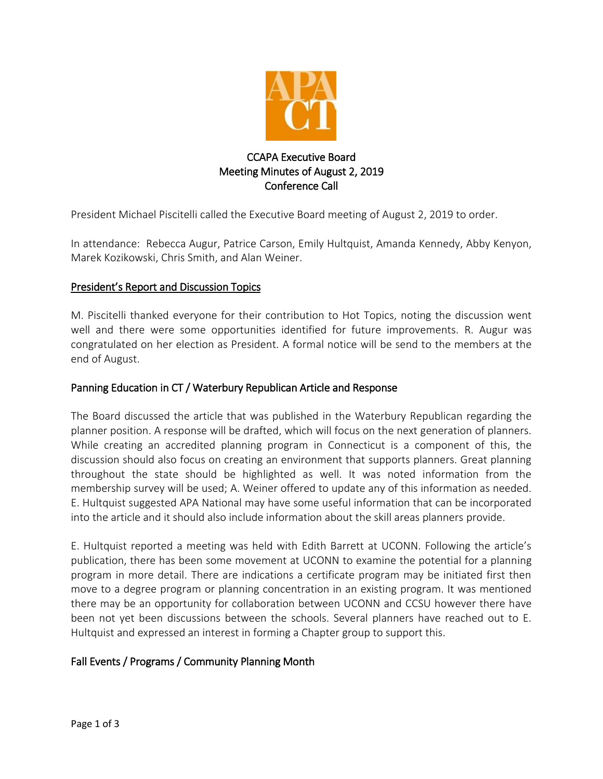

# CCAPA Executive Board Meeting Minutes of August 2, 2019 Conference Call

President Michael Piscitelli called the Executive Board meeting of August 2, 2019 to order.

In attendance: Rebecca Augur, Patrice Carson, Emily Hultquist, Amanda Kennedy, Abby Kenyon, Marek Kozikowski, Chris Smith, and Alan Weiner.

## President's Report and Discussion Topics

M. Piscitelli thanked everyone for their contribution to Hot Topics, noting the discussion went well and there were some opportunities identified for future improvements. R. Augur was congratulated on her election as President. A formal notice will be send to the members at the end of August.

## Panning Education in CT / Waterbury Republican Article and Response

The Board discussed the article that was published in the Waterbury Republican regarding the planner position. A response will be drafted, which will focus on the next generation of planners. While creating an accredited planning program in Connecticut is a component of this, the discussion should also focus on creating an environment that supports planners. Great planning throughout the state should be highlighted as well. It was noted information from the membership survey will be used; A. Weiner offered to update any of this information as needed. E. Hultquist suggested APA National may have some useful information that can be incorporated into the article and it should also include information about the skill areas planners provide.

E. Hultquist reported a meeting was held with Edith Barrett at UCONN. Following the article's publication, there has been some movement at UCONN to examine the potential for a planning program in more detail. There are indications a certificate program may be initiated first then move to a degree program or planning concentration in an existing program. It was mentioned there may be an opportunity for collaboration between UCONN and CCSU however there have been not yet been discussions between the schools. Several planners have reached out to E. Hultquist and expressed an interest in forming a Chapter group to support this.

## Fall Events / Programs / Community Planning Month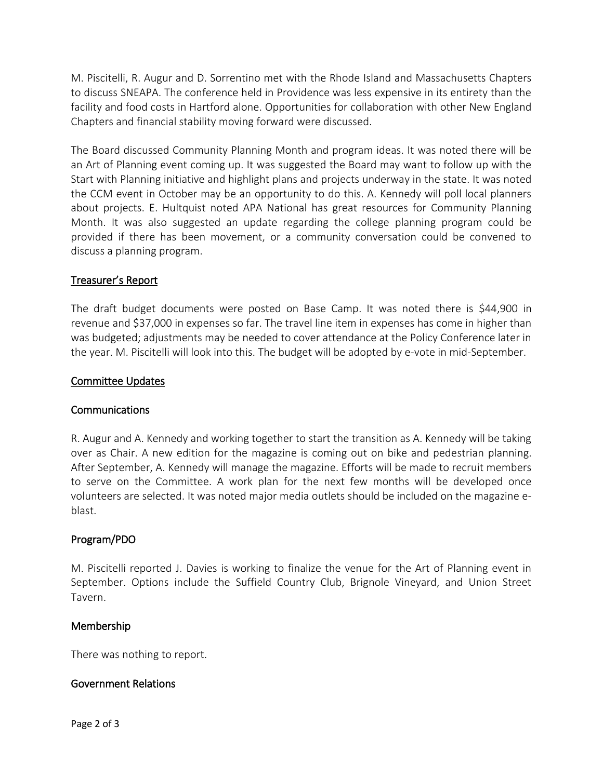M. Piscitelli, R. Augur and D. Sorrentino met with the Rhode Island and Massachusetts Chapters to discuss SNEAPA. The conference held in Providence was less expensive in its entirety than the facility and food costs in Hartford alone. Opportunities for collaboration with other New England Chapters and financial stability moving forward were discussed.

The Board discussed Community Planning Month and program ideas. It was noted there will be an Art of Planning event coming up. It was suggested the Board may want to follow up with the Start with Planning initiative and highlight plans and projects underway in the state. It was noted the CCM event in October may be an opportunity to do this. A. Kennedy will poll local planners about projects. E. Hultquist noted APA National has great resources for Community Planning Month. It was also suggested an update regarding the college planning program could be provided if there has been movement, or a community conversation could be convened to discuss a planning program.

## Treasurer's Report

The draft budget documents were posted on Base Camp. It was noted there is \$44,900 in revenue and \$37,000 in expenses so far. The travel line item in expenses has come in higher than was budgeted; adjustments may be needed to cover attendance at the Policy Conference later in the year. M. Piscitelli will look into this. The budget will be adopted by e-vote in mid-September.

#### Committee Updates

#### Communications

R. Augur and A. Kennedy and working together to start the transition as A. Kennedy will be taking over as Chair. A new edition for the magazine is coming out on bike and pedestrian planning. After September, A. Kennedy will manage the magazine. Efforts will be made to recruit members to serve on the Committee. A work plan for the next few months will be developed once volunteers are selected. It was noted major media outlets should be included on the magazine eblast.

#### Program/PDO

M. Piscitelli reported J. Davies is working to finalize the venue for the Art of Planning event in September. Options include the Suffield Country Club, Brignole Vineyard, and Union Street Tavern.

#### Membership

There was nothing to report.

#### Government Relations